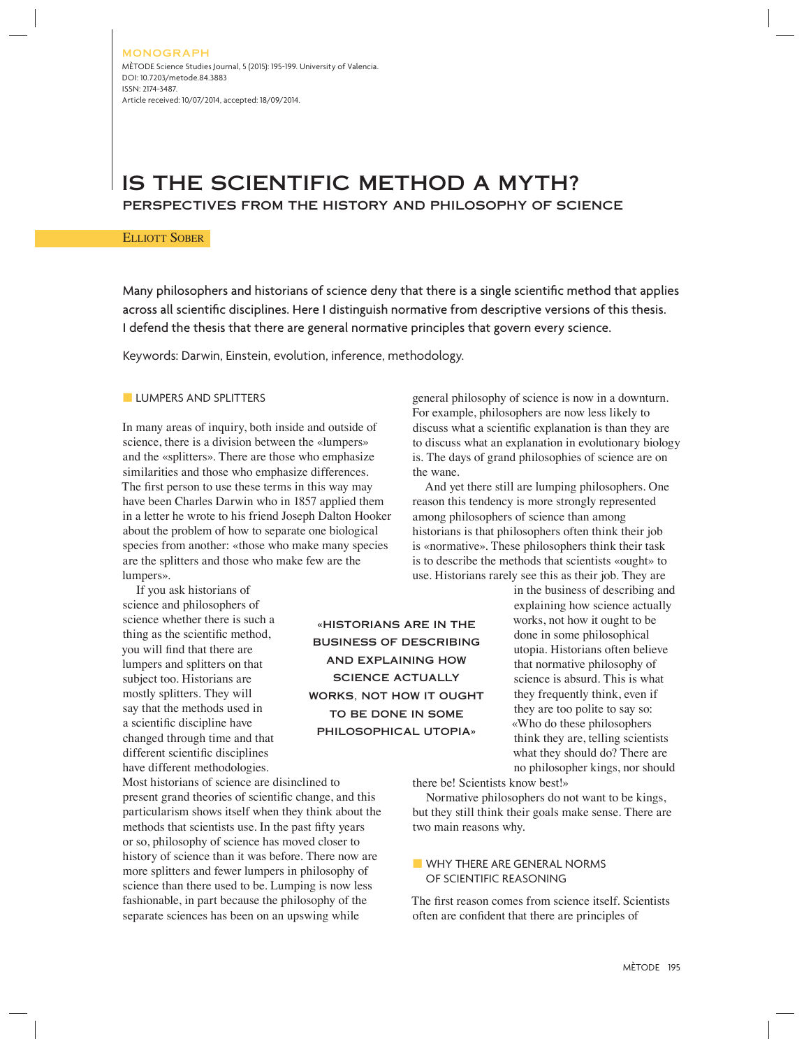## IS THE SCIENTIFIC METHOD A MYTH? PERSPECTIVES FROM THE HISTORY AND PHILOSOPHY OF SCIENCE

#### ELLIOTT SOBER

Many philosophers and historians of science deny that there is a single scientific method that applies across all scientific disciplines. Here I distinguish normative from descriptive versions of this thesis. I defend the thesis that there are general normative principles that govern every science.

> «HISTORIANS ARE IN THE BUSINESS OF DESCRIBING AND EXPLAINING HOW SCIENCE ACTUALLY WORKS, NOT HOW IT OUGHT TO BE DONE IN SOME PHILOSOPHICAL UTOPIA»

Keywords: Darwin, Einstein, evolution, inference, methodology.

#### **LUMPERS AND SPLITTERS**

In many areas of inquiry, both inside and outside of science, there is a division between the «lumpers» and the «splitters». There are those who emphasize similarities and those who emphasize differences. The first person to use these terms in this way may have been Charles Darwin who in 1857 applied them in a letter he wrote to his friend Joseph Dalton Hooker about the problem of how to separate one biological species from another: «those who make many species are the splitters and those who make few are the lumpers».

If you ask historians of science and philosophers of science whether there is such a thing as the scientific method, you will find that there are lumpers and splitters on that subject too. Historians are mostly splitters. They will say that the methods used in a scientific discipline have changed through time and that different scientific disciplines have different methodologies.

Most historians of science are disinclined to present grand theories of scientific change, and this particularism shows itself when they think about the methods that scientists use. In the past fifty years or so, philosophy of science has moved closer to history of science than it was before. There now are more splitters and fewer lumpers in philosophy of science than there used to be. Lumping is now less fashionable, in part because the philosophy of the separate sciences has been on an upswing while

general philosophy of science is now in a downturn. For example, philosophers are now less likely to discuss what a scientific explanation is than they are to discuss what an explanation in evolutionary biology is. The days of grand philosophies of science are on the wane.

And yet there still are lumping philosophers. One reason this tendency is more strongly represented among philosophers of science than among historians is that philosophers often think their job is «normative». These philosophers think their task is to describe the methods that scientists «ought» to use. Historians rarely see this as their job. They are

> in the business of describing and explaining how science actually works, not how it ought to be done in some philosophical utopia. Historians often believe that normative philosophy of science is absurd. This is what they frequently think, even if they are too polite to say so: «Who do these philosophers think they are, telling scientists what they should do? There are no philosopher kings, nor should

there be! Scientists know best!»

Normative philosophers do not want to be kings, but they still think their goals make sense. There are two main reasons why.

### ■ WHY THERE ARE GENERAL NORMS OF SCIENTIFIC REASONING

The first reason comes from science itself. Scientists often are confident that there are principles of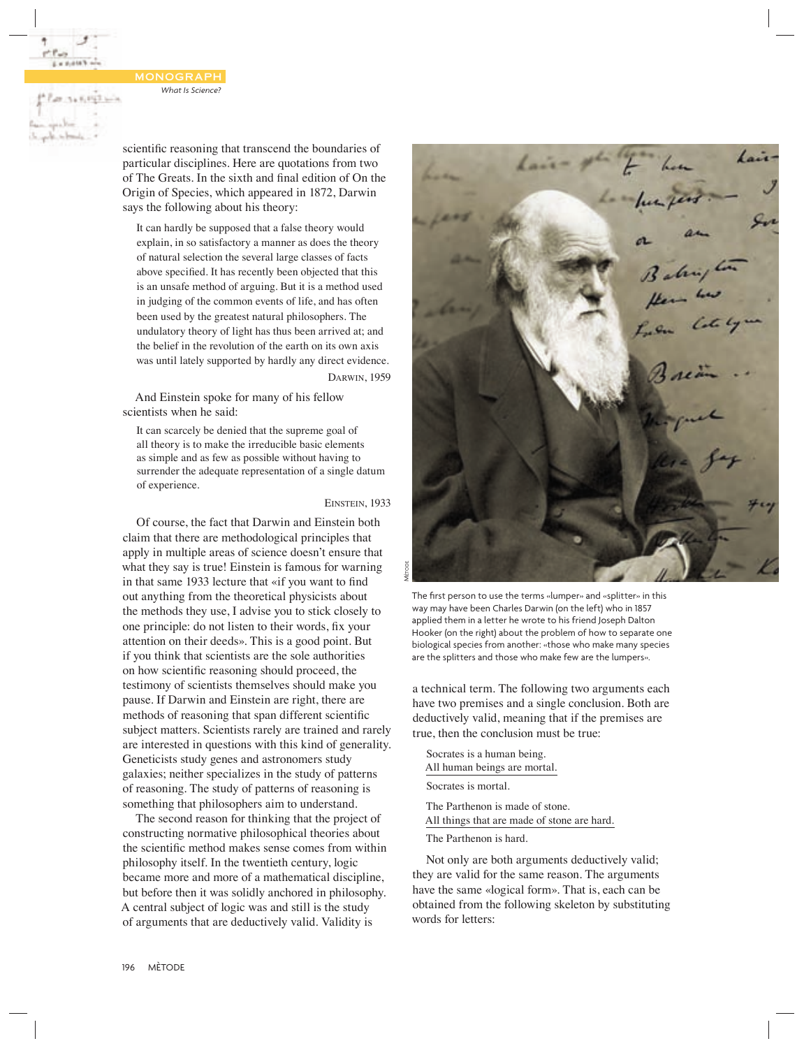145,023 6

scientific reasoning that transcend the boundaries of particular disciplines. Here are quotations from two of The Greats. In the sixth and final edition of On the Origin of Species, which appeared in 1872, Darwin says the following about his theory:

It can hardly be supposed that a false theory would explain, in so satisfactory a manner as does the theory of natural selection the several large classes of facts above specified. It has recently been objected that this is an unsafe method of arguing. But it is a method used in judging of the common events of life, and has often been used by the greatest natural philosophers. The undulatory theory of light has thus been arrived at; and the belief in the revolution of the earth on its own axis was until lately supported by hardly any direct evidence. DARWIN, 1959

And Einstein spoke for many of his fellow scientists when he said:

It can scarcely be denied that the supreme goal of all theory is to make the irreducible basic elements as simple and as few as possible without having to surrender the adequate representation of a single datum of experience.

EINSTEIN, 1933

Of course, the fact that Darwin and Einstein both claim that there are methodological principles that apply in multiple areas of science doesn't ensure that what they say is true! Einstein is famous for warning in that same 1933 lecture that «if you want to find out anything from the theoretical physicists about the methods they use, I advise you to stick closely to one principle: do not listen to their words, fix your attention on their deeds». This is a good point. But if you think that scientists are the sole authorities on how scientific reasoning should proceed, the testimony of scientists themselves should make you pause. If Darwin and Einstein are right, there are methods of reasoning that span different scientific subject matters. Scientists rarely are trained and rarely are interested in questions with this kind of generality. Geneticists study genes and astronomers study galaxies; neither specializes in the study of patterns of reasoning. The study of patterns of reasoning is something that philosophers aim to understand.

The second reason for thinking that the project of constructing normative philosophical theories about the scientific method makes sense comes from within philosophy itself. In the twentieth century, logic became more and more of a mathematical discipline, but before then it was solidly anchored in philosophy. A central subject of logic was and still is the study of arguments that are deductively valid. Validity is



The first person to use the terms «lumper» and «splitter» in this way may have been Charles Darwin (on the left) who in 1857 applied them in a letter he wrote to his friend Joseph Dalton Hooker (on the right) about the problem of how to separate one biological species from another: «those who make many species are the splitters and those who make few are the lumpers».

a technical term. The following two arguments each have two premises and a single conclusion. Both are deductively valid, meaning that if the premises are true, then the conclusion must be true:

Socrates is a human being. All human beings are mortal. Socrates is mortal. The Parthenon is made of stone. All things that are made of stone are hard.

The Parthenon is hard.

Not only are both arguments deductively valid; they are valid for the same reason. The arguments have the same «logical form». That is, each can be obtained from the following skeleton by substituting words for letters: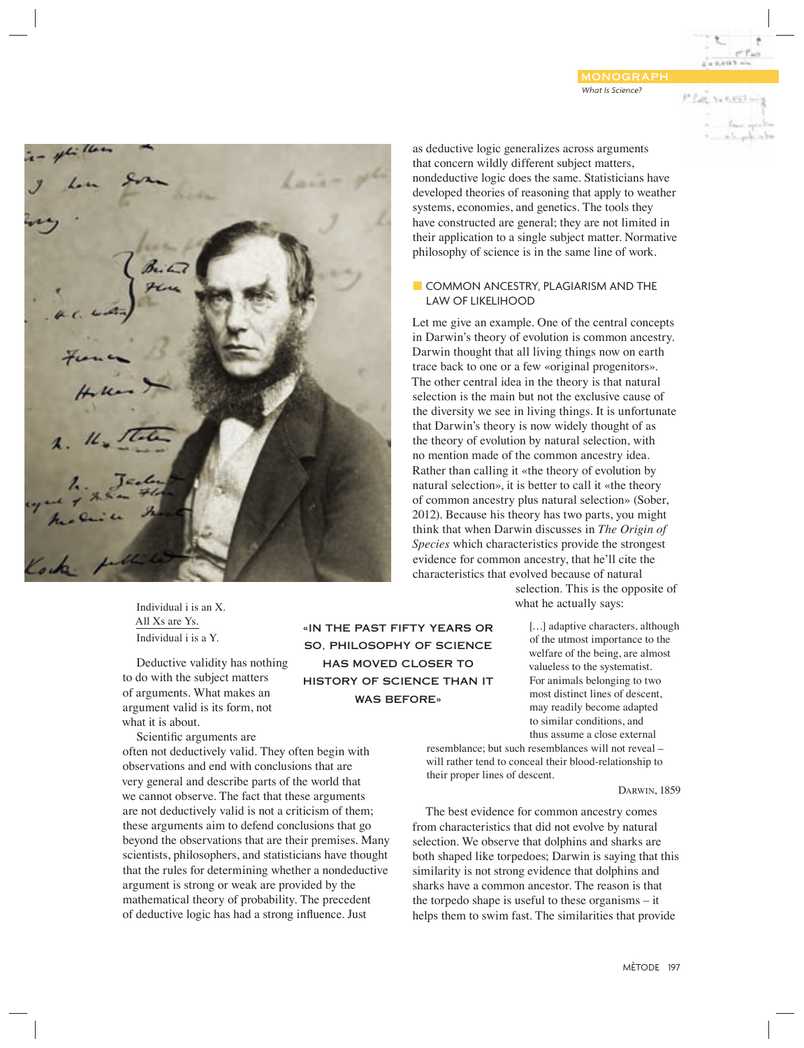*What Is Science?* MONOGRAPH  $-0.0183$ 



Individual i is an X. All Xs are Ys. Individual i is a Y.

Deductive validity has nothing to do with the subject matters of arguments. What makes an argument valid is its form, not what it is about.

Scientific arguments are often not deductively valid. They often begin with observations and end with conclusions that are very general and describe parts of the world that we cannot observe. The fact that these arguments are not deductively valid is not a criticism of them; these arguments aim to defend conclusions that go beyond the observations that are their premises. Many scientists, philosophers, and statisticians have thought that the rules for determining whether a nondeductive argument is strong or weak are provided by the mathematical theory of probability. The precedent

of deductive logic has had a strong influence. Just

«IN THE PAST FIFTY YEARS OR SO, PHILOSOPHY OF SCIENCE HAS MOVED CLOSER TO HISTORY OF SCIENCE THAN IT WAS BEFORE»

as deductive logic generalizes across arguments that concern wildly different subject matters, nondeductive logic does the same. Statisticians have developed theories of reasoning that apply to weather systems, economies, and genetics. The tools they have constructed are general; they are not limited in their application to a single subject matter. Normative philosophy of science is in the same line of work.

### ■ COMMON ANCESTRY, PLAGIARISM AND THE LAW OF LIKELIHOOD

Let me give an example. One of the central concepts in Darwin's theory of evolution is common ancestry. Darwin thought that all living things now on earth trace back to one or a few «original progenitors». The other central idea in the theory is that natural selection is the main but not the exclusive cause of the diversity we see in living things. It is unfortunate that Darwin's theory is now widely thought of as the theory of evolution by natural selection, with no mention made of the common ancestry idea. Rather than calling it «the theory of evolution by natural selection», it is better to call it «the theory of common ancestry plus natural selection» (Sober, 2012). Because his theory has two parts, you might think that when Darwin discusses in *The Origin of Species* which characteristics provide the strongest evidence for common ancestry, that he'll cite the characteristics that evolved because of natural

> selection. This is the opposite of what he actually says:

> > [...] adaptive characters, although of the utmost importance to the welfare of the being, are almost valueless to the systematist. For animals belonging to two most distinct lines of descent, may readily become adapted to similar conditions, and thus assume a close external

resemblance; but such resemblances will not reveal – will rather tend to conceal their blood-relationship to their proper lines of descent.

DARWIN, 1859

The best evidence for common ancestry comes from characteristics that did not evolve by natural selection. We observe that dolphins and sharks are both shaped like torpedoes; Darwin is saying that this similarity is not strong evidence that dolphins and sharks have a common ancestor. The reason is that the torpedo shape is useful to these organisms – it helps them to swim fast. The similarities that provide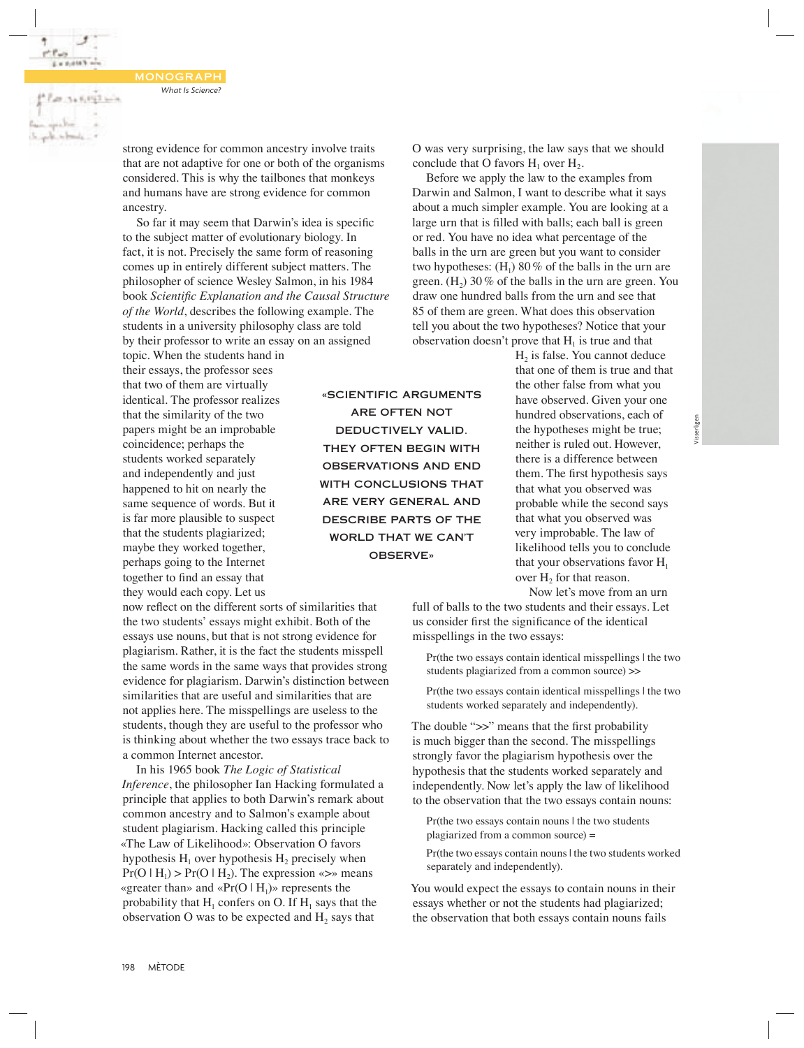**Parents KIND with** 

strong evidence for common ancestry involve traits that are not adaptive for one or both of the organisms considered. This is why the tailbones that monkeys and humans have are strong evidence for common ancestry.

So far it may seem that Darwin's idea is specific to the subject matter of evolutionary biology. In fact, it is not. Precisely the same form of reasoning comes up in entirely different subject matters. The philosopher of science Wesley Salmon, in his 1984 book *Scientific Explanation and the Causal Structure of the World*, describes the following example. The students in a university philosophy class are told by their professor to write an essay on an assigned

topic. When the students hand in their essays, the professor sees that two of them are virtually identical. The professor realizes that the similarity of the two papers might be an improbable coincidence; perhaps the students worked separately and independently and just happened to hit on nearly the same sequence of words. But it is far more plausible to suspect that the students plagiarized; maybe they worked together, perhaps going to the Internet together to find an essay that they would each copy. Let us

now reflect on the different sorts of similarities that the two students' essays might exhibit. Both of the essays use nouns, but that is not strong evidence for plagiarism. Rather, it is the fact the students misspell the same words in the same ways that provides strong evidence for plagiarism. Darwin's distinction between similarities that are useful and similarities that are not applies here. The misspellings are useless to the students, though they are useful to the professor who is thinking about whether the two essays trace back to a common Internet ancestor.

In his 1965 book *The Logic of Statistical Inference*, the philosopher Ian Hacking formulated a principle that applies to both Darwin's remark about common ancestry and to Salmon's example about student plagiarism. Hacking called this principle «The Law of Likelihood»: Observation O favors hypothesis  $H_1$  over hypothesis  $H_2$  precisely when  $Pr(O | H_1)$  >  $Pr(O | H_2)$ . The expression «>» means «greater than» and « $Pr(O | H_1)$ » represents the probability that  $H_1$  confers on O. If  $H_1$  says that the observation O was to be expected and  $H_2$  says that

«SCIENTIFIC ARGUMENTS ARE OFTEN NOT DEDUCTIVELY VALID. THEY OFTEN BEGIN WITH OBSERVATIONS AND END WITH CONCLUSIONS THAT ARE VERY GENERAL AND DESCRIBE PARTS OF THE WORLD THAT WE CAN'T OBSERVE»

O was very surprising, the law says that we should conclude that O favors  $H_1$  over  $H_2$ .

Before we apply the law to the examples from Darwin and Salmon, I want to describe what it says about a much simpler example. You are looking at a large urn that is filled with balls; each ball is green or red. You have no idea what percentage of the balls in the urn are green but you want to consider two hypotheses:  $(H_1)$  80% of the balls in the urn are green.  $(H_2)$  30% of the balls in the urn are green. You draw one hundred balls from the urn and see that 85 of them are green. What does this observation tell you about the two hypotheses? Notice that your observation doesn't prove that  $H<sub>1</sub>$  is true and that

> $H<sub>2</sub>$  is false. You cannot deduce that one of them is true and that the other false from what you have observed. Given your one hundred observations, each of the hypotheses might be true; neither is ruled out. However, there is a difference between them. The first hypothesis says that what you observed was probable while the second says that what you observed was very improbable. The law of likelihood tells you to conclude that your observations favor  $H_1$ over  $H_2$  for that reason.

Now let's move from an urn

full of balls to the two students and their essays. Let us consider first the significance of the identical misspellings in the two essays:

Pr(the two essays contain identical misspellings | the two students plagiarized from a common source) >>

Pr(the two essays contain identical misspellings | the two students worked separately and independently).

The double ">>" means that the first probability is much bigger than the second. The misspellings strongly favor the plagiarism hypothesis over the hypothesis that the students worked separately and independently. Now let's apply the law of likelihood to the observation that the two essays contain nouns:

Pr(the two essays contain nouns I the two students plagiarized from a common source) =

Pr(the two essays contain nouns | the two students worked separately and independently).

You would expect the essays to contain nouns in their essays whether or not the students had plagiarized; the observation that both essays contain nouns fails